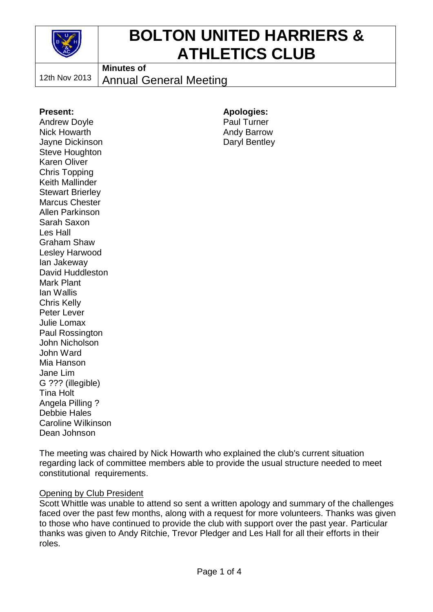

# **BOLTON UNITED HARRIERS & ATHLETICS CLUB**

12th Nov 2013

**Minutes of**

Annual General Meeting

#### **Present:**

Andrew Doyle Nick Howarth Jayne Dickinson Steve Houghton Karen Oliver Chris Topping Keith Mallinder Stewart Brierley Marcus Chester Allen Parkinson Sarah Saxon Les Hall Graham Shaw Lesley Harwood Ian Jakeway David Huddleston Mark Plant Ian Wallis Chris Kelly Peter Lever Julie Lomax Paul Rossington John Nicholson John Ward Mia Hanson Jane Lim G ??? (illegible) Tina Holt Angela Pilling ? Debbie Hales Caroline Wilkinson Dean Johnson

**Apologies:** Paul Turner Andy Barrow Daryl Bentley

The meeting was chaired by Nick Howarth who explained the club's current situation regarding lack of committee members able to provide the usual structure needed to meet constitutional requirements.

#### **Opening by Club President**

Scott Whittle was unable to attend so sent a written apology and summary of the challenges faced over the past few months, along with a request for more volunteers. Thanks was given to those who have continued to provide the club with support over the past year. Particular thanks was given to Andy Ritchie, Trevor Pledger and Les Hall for all their efforts in their roles.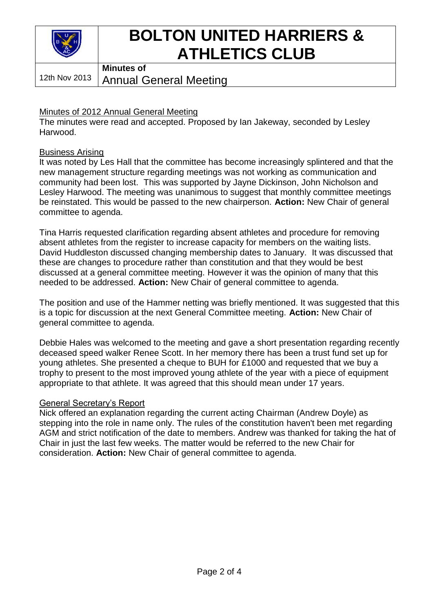

# **BOLTON UNITED HARRIERS & ATHLETICS CLUB**

12th Nov 2013 **Minutes of**

Annual General Meeting

### Minutes of 2012 Annual General Meeting

The minutes were read and accepted. Proposed by Ian Jakeway, seconded by Lesley Harwood.

#### Business Arising

It was noted by Les Hall that the committee has become increasingly splintered and that the new management structure regarding meetings was not working as communication and community had been lost. This was supported by Jayne Dickinson, John Nicholson and Lesley Harwood. The meeting was unanimous to suggest that monthly committee meetings be reinstated. This would be passed to the new chairperson. **Action:** New Chair of general committee to agenda.

Tina Harris requested clarification regarding absent athletes and procedure for removing absent athletes from the register to increase capacity for members on the waiting lists. David Huddleston discussed changing membership dates to January. It was discussed that these are changes to procedure rather than constitution and that they would be best discussed at a general committee meeting. However it was the opinion of many that this needed to be addressed. **Action:** New Chair of general committee to agenda.

The position and use of the Hammer netting was briefly mentioned. It was suggested that this is a topic for discussion at the next General Committee meeting. **Action:** New Chair of general committee to agenda.

Debbie Hales was welcomed to the meeting and gave a short presentation regarding recently deceased speed walker Renee Scott. In her memory there has been a trust fund set up for young athletes. She presented a cheque to BUH for £1000 and requested that we buy a trophy to present to the most improved young athlete of the year with a piece of equipment appropriate to that athlete. It was agreed that this should mean under 17 years.

#### General Secretary's Report

Nick offered an explanation regarding the current acting Chairman (Andrew Doyle) as stepping into the role in name only. The rules of the constitution haven't been met regarding AGM and strict notification of the date to members. Andrew was thanked for taking the hat of Chair in just the last few weeks. The matter would be referred to the new Chair for consideration. **Action:** New Chair of general committee to agenda.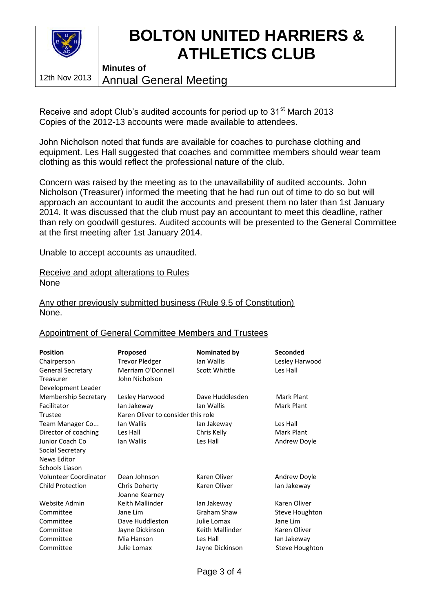

### **BOLTON UNITED HARRIERS & ATHLETICS CLUB Minutes of**

12th Nov 2013

Annual General Meeting

Receive and adopt Club's audited accounts for period up to 31<sup>st</sup> March 2013 Copies of the 2012-13 accounts were made available to attendees.

John Nicholson noted that funds are available for coaches to purchase clothing and equipment. Les Hall suggested that coaches and committee members should wear team clothing as this would reflect the professional nature of the club.

Concern was raised by the meeting as to the unavailability of audited accounts. John Nicholson (Treasurer) informed the meeting that he had run out of time to do so but will approach an accountant to audit the accounts and present them no later than 1st January 2014. It was discussed that the club must pay an accountant to meet this deadline, rather than rely on goodwill gestures. Audited accounts will be presented to the General Committee at the first meeting after 1st January 2014.

Unable to accept accounts as unaudited.

Receive and adopt alterations to Rules None

Any other previously submitted business (Rule 9.5 of Constitution) None.

#### Appointment of General Committee Members and Trustees

| <b>Position</b>          | <b>Proposed</b>                    | Nominated by    | Seconded       |
|--------------------------|------------------------------------|-----------------|----------------|
| Chairperson              | <b>Trevor Pledger</b>              | Ian Wallis      | Lesley Harwood |
| <b>General Secretary</b> | Merriam O'Donnell                  | Scott Whittle   | Les Hall       |
| Treasurer                | John Nicholson                     |                 |                |
| Development Leader       |                                    |                 |                |
| Membership Secretary     | Lesley Harwood                     | Dave Huddlesden | Mark Plant     |
| Facilitator              | lan Jakeway                        | Ian Wallis      | Mark Plant     |
| Trustee                  | Karen Oliver to consider this role |                 |                |
| Team Manager Co          | Ian Wallis                         | lan Jakeway     | Les Hall       |
| Director of coaching     | Les Hall                           | Chris Kelly     | Mark Plant     |
| Junior Coach Co          | Ian Wallis                         | Les Hall        | Andrew Doyle   |
| Social Secretary         |                                    |                 |                |
| News Editor              |                                    |                 |                |
| Schools Liason           |                                    |                 |                |
| Volunteer Coordinator    | Dean Johnson                       | Karen Oliver    | Andrew Doyle   |
| <b>Child Protection</b>  | Chris Doherty                      | Karen Oliver    | lan Jakeway    |
|                          | Joanne Kearney                     |                 |                |
| Website Admin            | Keith Mallinder                    | lan Jakeway     | Karen Oliver   |
| Committee                | Jane Lim                           | Graham Shaw     | Steve Houghton |
| Committee                | Dave Huddleston                    | Julie Lomax     | Jane Lim       |
| Committee                | Jayne Dickinson                    | Keith Mallinder | Karen Oliver   |
| Committee                | Mia Hanson                         | Les Hall        | lan Jakeway    |
| Committee                | Julie Lomax                        | Jayne Dickinson | Steve Houghton |